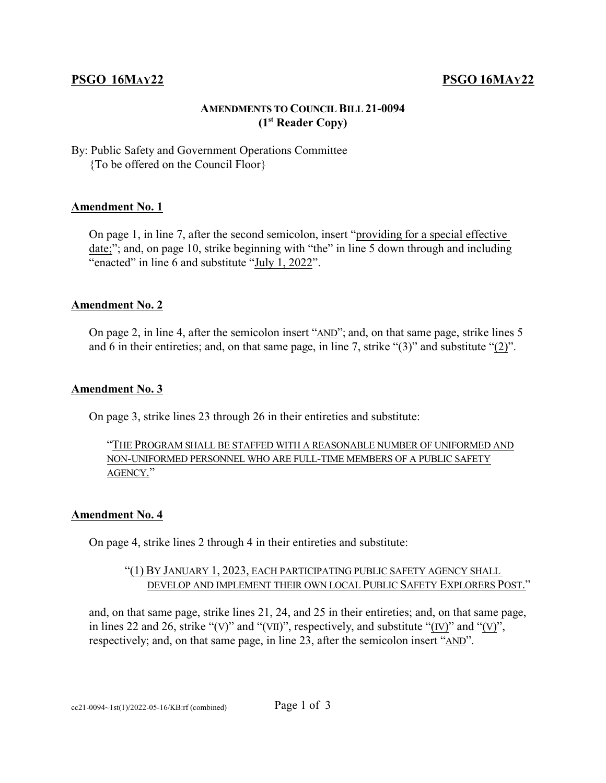## **PSGO 16MAY22 PSGO 16MAY22**

## **AMENDMENTS TO COUNCIL BILL 21-0094 (1st Reader Copy)**

By: Public Safety and Government Operations Committee {To be offered on the Council Floor}

#### **Amendment No. 1**

On page 1, in line 7, after the second semicolon, insert "providing for a special effective date;"; and, on page 10, strike beginning with "the" in line 5 down through and including "enacted" in line 6 and substitute "July 1, 2022".

#### **Amendment No. 2**

On page 2, in line 4, after the semicolon insert "AND"; and, on that same page, strike lines 5 and 6 in their entireties; and, on that same page, in line 7, strike "(3)" and substitute "(2)".

#### **Amendment No. 3**

On page 3, strike lines 23 through 26 in their entireties and substitute:

## "THE PROGRAM SHALL BE STAFFED WITH A REASONABLE NUMBER OF UNIFORMED AND NON-UNIFORMED PERSONNEL WHO ARE FULL-TIME MEMBERS OF A PUBLIC SAFETY AGENCY."

#### **Amendment No. 4**

On page 4, strike lines 2 through 4 in their entireties and substitute:

## "(1) BY JANUARY 1, 2023, EACH PARTICIPATING PUBLIC SAFETY AGENCY SHALL DEVELOP AND IMPLEMENT THEIR OWN LOCAL PUBLIC SAFETY EXPLORERS POST."

and, on that same page, strike lines 21, 24, and 25 in their entireties; and, on that same page, in lines 22 and 26, strike "(V)" and "(VII)", respectively, and substitute "(IV)" and "(V)", respectively; and, on that same page, in line 23, after the semicolon insert "AND".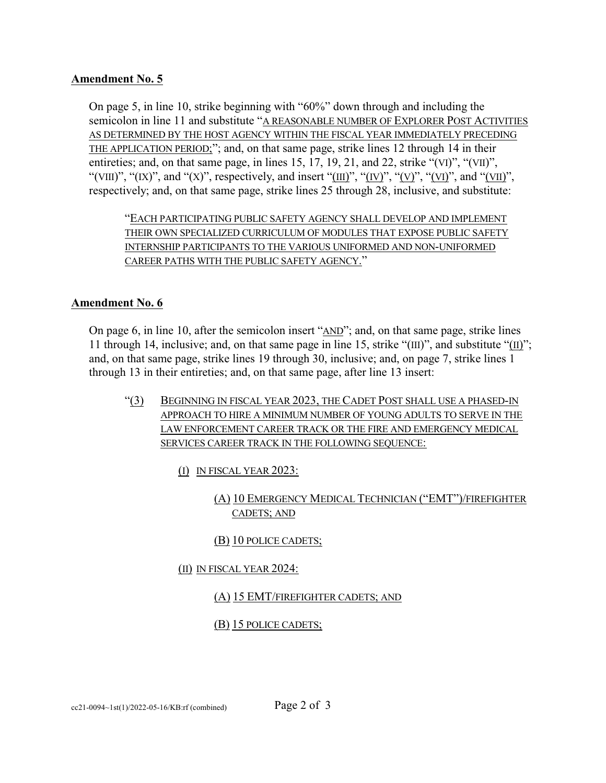## **Amendment No. 5**

On page 5, in line 10, strike beginning with "60%" down through and including the semicolon in line 11 and substitute "A REASONABLE NUMBER OF EXPLORER POST ACTIVITIES AS DETERMINED BY THE HOST AGENCY WITHIN THE FISCAL YEAR IMMEDIATELY PRECEDING THE APPLICATION PERIOD;"; and, on that same page, strike lines 12 through 14 in their entireties; and, on that same page, in lines 15, 17, 19, 21, and 22, strike "(VI)", "(VII)", "(VIII)", "(IX)", and "(X)", respectively, and insert "(III)", "(IV)", "(V)", "(VI)", and "(VII)", respectively; and, on that same page, strike lines 25 through 28, inclusive, and substitute:

"EACH PARTICIPATING PUBLIC SAFETY AGENCY SHALL DEVELOP AND IMPLEMENT THEIR OWN SPECIALIZED CURRICULUM OF MODULES THAT EXPOSE PUBLIC SAFETY INTERNSHIP PARTICIPANTS TO THE VARIOUS UNIFORMED AND NON-UNIFORMED CAREER PATHS WITH THE PUBLIC SAFETY AGENCY."

## **Amendment No. 6**

On page 6, in line 10, after the semicolon insert "AND"; and, on that same page, strike lines 11 through 14, inclusive; and, on that same page in line 15, strike "(III)", and substitute "(II)"; and, on that same page, strike lines 19 through 30, inclusive; and, on page 7, strike lines 1 through 13 in their entireties; and, on that same page, after line 13 insert:

- "(3) BEGINNING IN FISCAL YEAR 2023, THE CADET POST SHALL USE A PHASED-IN APPROACH TO HIRE A MINIMUM NUMBER OF YOUNG ADULTS TO SERVE IN THE LAW ENFORCEMENT CAREER TRACK OR THE FIRE AND EMERGENCY MEDICAL SERVICES CAREER TRACK IN THE FOLLOWING SEQUENCE:
	- (I) IN FISCAL YEAR 2023:
		- (A) 10 EMERGENCY MEDICAL TECHNICIAN ("EMT")/FIREFIGHTER CADETS; AND

# (B) 10 POLICE CADETS;

(II) IN FISCAL YEAR 2024:

## (A) 15 EMT/FIREFIGHTER CADETS; AND

## (B) 15 POLICE CADETS;